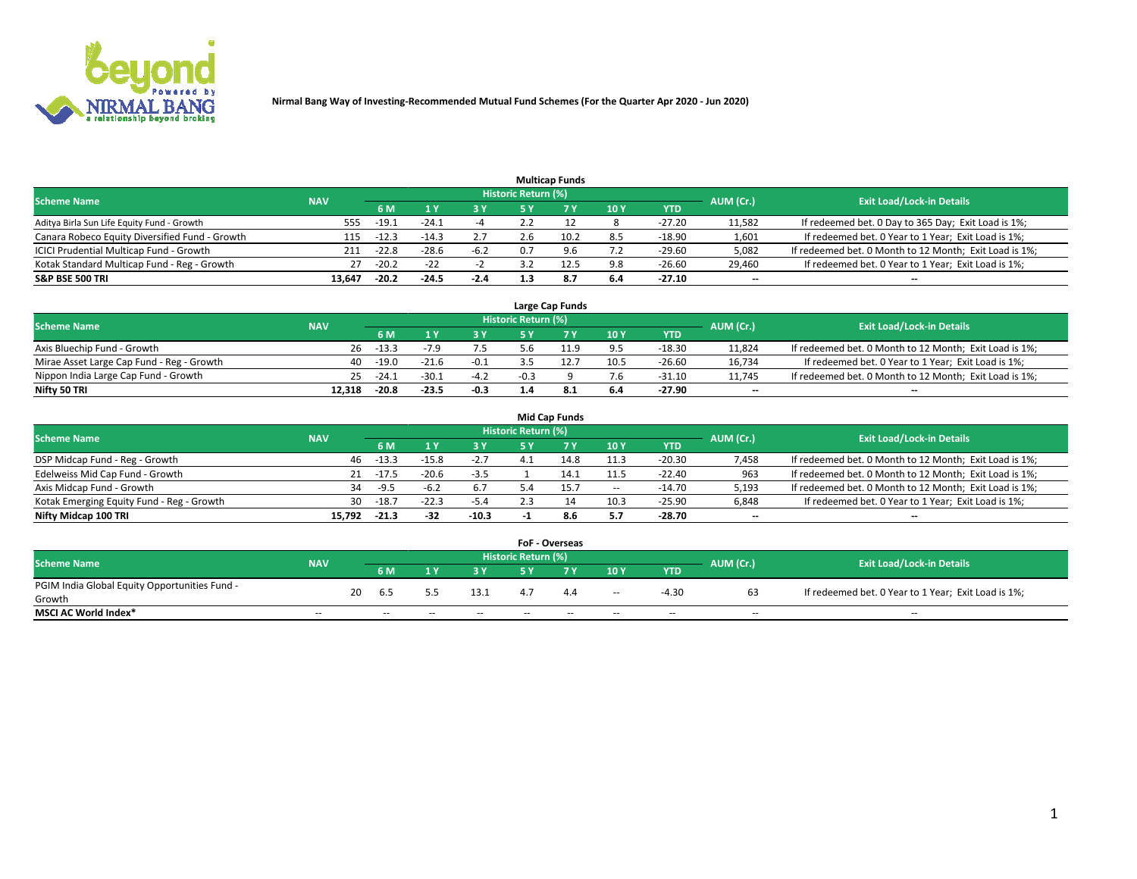

|                                                |            |         |         |        |                     | <b>Multicap Funds</b> |     |            |           |                                                        |
|------------------------------------------------|------------|---------|---------|--------|---------------------|-----------------------|-----|------------|-----------|--------------------------------------------------------|
| <b>Scheme Name</b>                             | <b>NAV</b> |         |         |        | Historic Return (%) |                       |     |            | AUM (Cr.) | <b>Exit Load/Lock-in Details</b>                       |
|                                                |            | 6 M     |         | 3 Y.   | 5 Y                 |                       | 10Y | <b>YTD</b> |           |                                                        |
| Aditya Birla Sun Life Equity Fund - Growth     | 555        | -19.⊥   | $-24.1$ |        |                     |                       |     | $-27.20$   | 11,582    | If redeemed bet. 0 Day to 365 Day; Exit Load is 1%;    |
| Canara Robeco Equity Diversified Fund - Growth | 115        | $-12.3$ | $-14.3$ | 2.7    | 2.h                 | 10.2                  | 8.5 | $-18.90$   | 1,601     | If redeemed bet. 0 Year to 1 Year; Exit Load is 1%;    |
| ICICI Prudential Multicap Fund - Growth        | 211        | $-22.8$ | $-28.6$ | $-6.2$ | 0.7                 | 9.6                   | 7.2 | $-29.60$   | 5,082     | If redeemed bet. 0 Month to 12 Month; Exit Load is 1%; |
| Kotak Standard Multicap Fund - Reg - Growth    | 27         | $-20.2$ | $-22$   |        |                     | 12.5                  | 9.8 | $-26.60$   | 29,460    | If redeemed bet. 0 Year to 1 Year; Exit Load is 1%;    |
| <b>S&amp;P BSE 500 TRI</b>                     | 13,647     | $-20.2$ | $-24.5$ | $-2.4$ |                     | 8.7                   | 6.4 | $-27.10$   | --        | $\overline{\phantom{a}}$                               |

|                                           |            |         |         |        |                            | Large Cap Funds |      |            |           |                                                        |
|-------------------------------------------|------------|---------|---------|--------|----------------------------|-----------------|------|------------|-----------|--------------------------------------------------------|
| <b>Scheme Name</b>                        | <b>NAV</b> |         |         |        | <b>Historic Return (%)</b> |                 |      |            | AUM (Cr.) | <b>Exit Load/Lock-in Details</b>                       |
|                                           |            | 6 M     |         | 2 V.   |                            |                 | 10Y  | <b>YTD</b> |           |                                                        |
| Axis Bluechip Fund - Growth               | 26         | $-13.3$ | -79     | 7.5    |                            |                 | 9.5  | $-18.30$   | 11,824    | If redeemed bet. 0 Month to 12 Month; Exit Load is 1%; |
| Mirae Asset Large Cap Fund - Reg - Growth | 40.        | $-19.0$ | $-21.6$ | $-0.1$ |                            |                 | 10.5 | $-26.60$   | 16,734    | If redeemed bet. 0 Year to 1 Year; Exit Load is 1%;    |
| Nippon India Large Cap Fund - Growth      | 25         | $-24.1$ | $-30.1$ | $-4.2$ | $-0.3$                     |                 |      | $-31.10$   | 11.745    | If redeemed bet. 0 Month to 12 Month; Exit Load is 1%; |
| Nifty 50 TRI                              | 12.318     | $-20.8$ | $-23.5$ | $-0.3$ |                            | 8.1             | 6.4  | $-27.90$   | --        | $- -$                                                  |

|                                           |            |         |         |         |                            | <b>Mid Cap Funds</b> |       |            |                          |                                                        |
|-------------------------------------------|------------|---------|---------|---------|----------------------------|----------------------|-------|------------|--------------------------|--------------------------------------------------------|
| <b>Scheme Name</b>                        | <b>NAV</b> |         |         |         | <b>Historic Return (%)</b> |                      |       |            | AUM (Cr.)                | <b>Exit Load/Lock-in Details</b>                       |
|                                           |            | 6 M     |         | 3 Y     | 5 Y                        |                      | 10 Y  | <b>YTD</b> |                          |                                                        |
| DSP Midcap Fund - Reg - Growth            | 46         | $-13.3$ | $-15.8$ | $-2.7$  |                            | 14.8                 | 11.3  | $-20.30$   | 7,458                    | If redeemed bet. 0 Month to 12 Month; Exit Load is 1%; |
| Edelweiss Mid Cap Fund - Growth           | 21         | $-17.5$ | $-20.6$ | $-3.5$  |                            | 14.1                 | 11.5  | $-22.40$   | 963                      | If redeemed bet. 0 Month to 12 Month; Exit Load is 1%; |
| Axis Midcap Fund - Growth                 | 34         | $-9.5$  | $-6.2$  | 6.7     |                            | 15.7                 | $\!-$ | $-14.70$   | 5,193                    | If redeemed bet. 0 Month to 12 Month; Exit Load is 1%; |
| Kotak Emerging Equity Fund - Reg - Growth | 30         | $-18.7$ | $-22.3$ | $-5.4$  |                            |                      | 10.3  | $-25.90$   | 6,848                    | If redeemed bet. 0 Year to 1 Year; Exit Load is 1%;    |
| Nifty Midcap 100 TRI                      | 15.792     | $-21.3$ | $-32$   | $-10.3$ |                            | 8.6                  | 5.7   | $-28.70$   | $\overline{\phantom{m}}$ | $- -$                                                  |

|                                               |                          |    |        |       |       |                     | FoF - Overseas |                          |            |           |                                                     |
|-----------------------------------------------|--------------------------|----|--------|-------|-------|---------------------|----------------|--------------------------|------------|-----------|-----------------------------------------------------|
| <b>Scheme Name</b>                            | <b>NAV</b>               |    |        |       |       | Historic Return (%) |                |                          |            | AUM (Cr.) | <b>Exit Load/Lock-in Details</b>                    |
|                                               |                          |    | 6 M    |       | 2 V   | <b>EV</b>           |                | 10Y                      | <b>YTD</b> |           |                                                     |
| PGIM India Global Equity Opportunities Fund - |                          | 20 | 6.5    |       | 13.1  |                     |                | $\overline{\phantom{a}}$ | $-4.30$    | 63        | If redeemed bet. 0 Year to 1 Year; Exit Load is 1%; |
| Growth                                        |                          |    |        |       |       |                     |                |                          |            |           |                                                     |
| <b>MSCI AC World Index*</b>                   | $\overline{\phantom{a}}$ |    | $\sim$ | $- -$ | $- -$ | $\sim$              | $- -$          | $\sim$                   | $\sim$     | $\sim$    | $- -$                                               |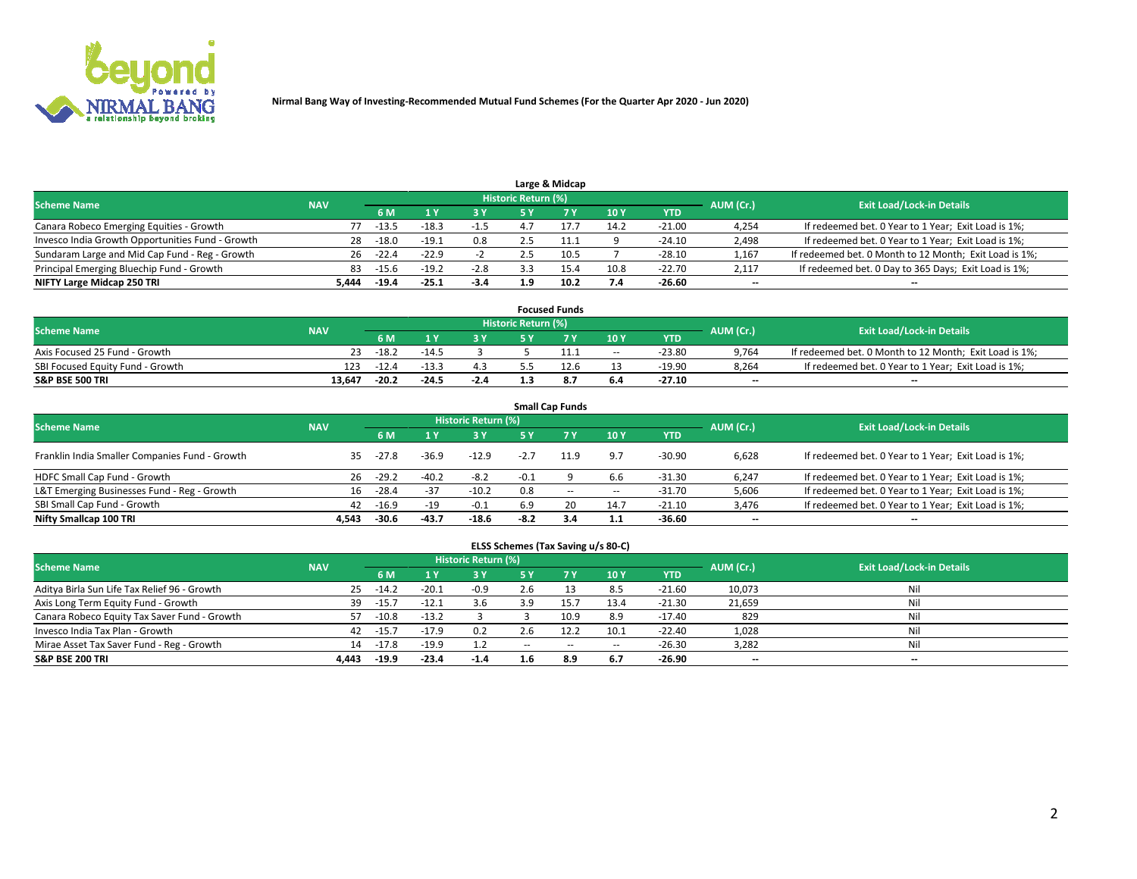

|                                                  |            |         |         |            |                     | Large & Midcap |      |            |           |                                                        |
|--------------------------------------------------|------------|---------|---------|------------|---------------------|----------------|------|------------|-----------|--------------------------------------------------------|
| <b>Scheme Name</b>                               | <b>NAV</b> |         |         |            | Historic Return (%) |                |      |            | AUM (Cr.) | <b>Exit Load/Lock-in Details</b>                       |
|                                                  |            | 6 M     |         | <b>3 Y</b> | 5٧                  |                | 10Y  | <b>YTD</b> |           |                                                        |
| Canara Robeco Emerging Equities - Growth         | 77         | $-13.5$ | $-18.3$ | $-1.5$     |                     |                | 14.2 | $-21.00$   | 4,254     | If redeemed bet. 0 Year to 1 Year; Exit Load is 1%;    |
| Invesco India Growth Opportunities Fund - Growth | 28         | $-18.0$ | $-19.1$ | 0.8        |                     |                |      | $-24.10$   | 2,498     | If redeemed bet. 0 Year to 1 Year; Exit Load is 1%;    |
| Sundaram Large and Mid Cap Fund - Reg - Growth   | 26         | $-22.4$ | $-22.9$ |            |                     | 10.5           |      | $-28.10$   | 1,167     | If redeemed bet. 0 Month to 12 Month; Exit Load is 1%; |
| Principal Emerging Bluechip Fund - Growth        | 83         | $-15.6$ | $-19.2$ | $-2.8$     |                     | 15.4           | 10.8 | $-22.70$   | 2,117     | If redeemed bet. 0 Day to 365 Days; Exit Load is 1%;   |
| NIFTY Large Midcap 250 TRI                       | 5.444      | $-19.4$ | $-25.1$ | $-3.4$     | 1.9                 | 10.2           | 7.4  | -26.60     | $- -$     | --                                                     |

|                                  |            |         |         |        |                     | <b>Focused Funds</b> |        |            |           |                                                        |
|----------------------------------|------------|---------|---------|--------|---------------------|----------------------|--------|------------|-----------|--------------------------------------------------------|
| <b>Scheme Name</b>               | <b>NAV</b> |         |         |        | Historic Return (%) |                      |        |            | AUM (Cr.) | <b>Exit Load/Lock-in Details</b>                       |
|                                  |            | 6 M     |         |        |                     |                      | 10Y    | <b>YTD</b> |           |                                                        |
| Axis Focused 25 Fund - Growth    | 23         | $-18.2$ | $-14.5$ |        |                     |                      | $\sim$ | $-23.80$   | 9.764     | If redeemed bet. 0 Month to 12 Month; Exit Load is 1%; |
| SBI Focused Equity Fund - Growth | 123        | $-12.4$ | $-13.3$ | 4.3    |                     |                      |        | $-19.90$   | 8.264     | If redeemed bet. 0 Year to 1 Year; Exit Load is 1%;    |
| <b>S&amp;P BSE 500 TRI</b>       | 13.647     | $-20.2$ | $-24.5$ | $-2.4$ |                     | 8.                   | 6.4    | $-27.10$   | $- -$     | $- -$                                                  |

| <b>Small Cap Funds</b>                                                                                          |       |         |         |         |        |           |       |            |                          |                                                     |  |  |  |  |
|-----------------------------------------------------------------------------------------------------------------|-------|---------|---------|---------|--------|-----------|-------|------------|--------------------------|-----------------------------------------------------|--|--|--|--|
| <b>Historic Return (%)</b><br><b>Exit Load/Lock-in Details</b><br><b>Scheme Name</b><br><b>NAV</b><br>AUM (Cr.) |       |         |         |         |        |           |       |            |                          |                                                     |  |  |  |  |
|                                                                                                                 |       | 6 M     |         | 3 Y     | 5 Y    | <b>7Y</b> | 10Y   | <b>YTD</b> |                          |                                                     |  |  |  |  |
| Franklin India Smaller Companies Fund - Growth                                                                  | 35    | $-27.8$ | $-36.9$ | $-12.9$ | $-2.7$ | 11.9      | 9.7   | $-30.90$   | 6,628                    | If redeemed bet. 0 Year to 1 Year; Exit Load is 1%; |  |  |  |  |
| HDFC Small Cap Fund - Growth                                                                                    | 26    | $-29.2$ | $-40.2$ | $-8.2$  | $-0.1$ |           | 6.6   | $-31.30$   | 6,247                    | If redeemed bet. 0 Year to 1 Year; Exit Load is 1%; |  |  |  |  |
| L&T Emerging Businesses Fund - Reg - Growth                                                                     | 16    | $-28.4$ | $-37$   | $-10.2$ | 0.8    | $- -$     | $\!-$ | $-31.70$   | 5,606                    | If redeemed bet. 0 Year to 1 Year; Exit Load is 1%; |  |  |  |  |
| SBI Small Cap Fund - Growth                                                                                     | 42    | $-16.9$ | $-19$   | $-0.1$  | 6.9    | 20        | 14.7  | $-21.10$   | 3,476                    | If redeemed bet. 0 Year to 1 Year; Exit Load is 1%; |  |  |  |  |
| Nifty Smallcap 100 TRI                                                                                          | 4.543 | $-30.6$ | $-43.7$ | $-18.6$ | $-8.2$ | 3.4       | 1.1   | -36.60     | $\overline{\phantom{a}}$ | --                                                  |  |  |  |  |

## **ELSS Schemes (Tax Saving u/s 80-C)**

| <b>Scheme Name</b>                           | <b>NAV</b> |         |         | <b>Historic Return (%)</b> |        |      |                          |            | AUM (Cr.) | <b>Exit Load/Lock-in Details</b> |
|----------------------------------------------|------------|---------|---------|----------------------------|--------|------|--------------------------|------------|-----------|----------------------------------|
|                                              |            | 6 M     |         | <b>3Y</b>                  | 5 Y    |      | 10Y                      | <b>YTD</b> |           |                                  |
| Aditya Birla Sun Life Tax Relief 96 - Growth | 25         | $-14.2$ | $-20.1$ | $-0.9$                     | 2.6    |      | 8.5                      | $-21.60$   | 10,073    | Nil                              |
| Axis Long Term Equity Fund - Growth          | 39         | $-15.7$ | $-12.1$ | 3.6                        | 3.9    | 15.7 | 13.4                     | $-21.30$   | 21,659    | Nil                              |
| Canara Robeco Equity Tax Saver Fund - Growth | 57         | $-10.8$ | $-13.2$ |                            |        | 10.9 | 8.9                      | $-17.40$   | 829       | Nil                              |
| Invesco India Tax Plan - Growth              | 42         | $-15.7$ | $-17.9$ | 0.2                        | 2.6    |      | 10.1                     | $-22.40$   | 1,028     | Nil                              |
| Mirae Asset Tax Saver Fund - Reg - Growth    | 14         | $-17.8$ | $-19.9$ | 1.2                        | $\sim$ | $-$  | $\overline{\phantom{a}}$ | $-26.30$   | 3,282     | Nil                              |
| <b>S&amp;P BSE 200 TRI</b>                   | 4.443      | $-19.9$ | $-23.4$ | $-1.4$                     | 1.6    | 8.9  | 6.7                      | $-26.90$   | $- -$     | $-$                              |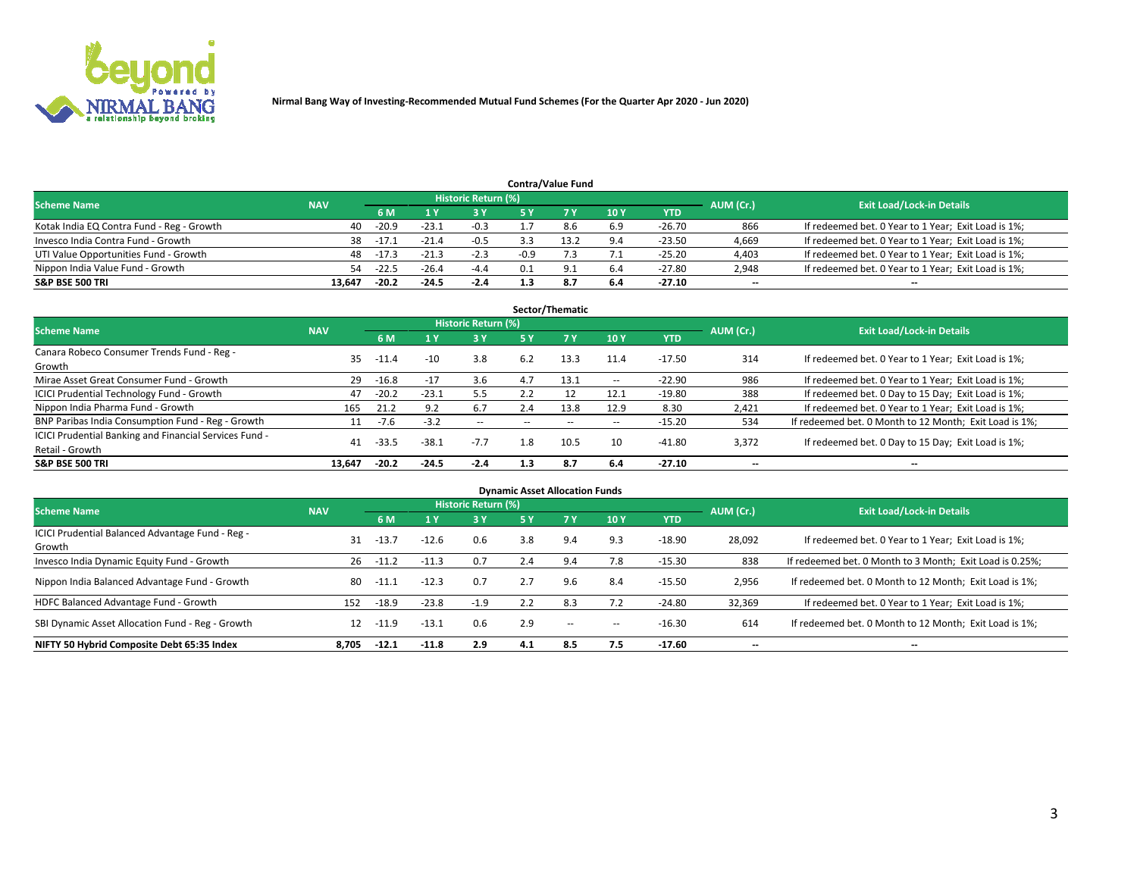

| <b>Contra/Value Fund</b>                  |            |           |                                  |        |        |     |      |            |       |                                                     |  |  |  |
|-------------------------------------------|------------|-----------|----------------------------------|--------|--------|-----|------|------------|-------|-----------------------------------------------------|--|--|--|
| <b>Scheme Name</b>                        | <b>NAV</b> | AUM (Cr.) | <b>Exit Load/Lock-in Details</b> |        |        |     |      |            |       |                                                     |  |  |  |
|                                           |            | 6 M       |                                  | 3 Y    |        |     | 10Y  | <b>YTD</b> |       |                                                     |  |  |  |
| Kotak India EQ Contra Fund - Reg - Growth | 40         | $-20.9$   | $-23.1$                          | $-0.3$ |        | 8.6 | 6.9  | $-26.70$   | 866   | If redeemed bet. 0 Year to 1 Year; Exit Load is 1%; |  |  |  |
| Invesco India Contra Fund - Growth        | 38         | -17.1     | $-21.4$                          | $-0.5$ |        |     | 9.4  | $-23.50$   | 4,669 | If redeemed bet. 0 Year to 1 Year; Exit Load is 1%; |  |  |  |
| UTI Value Opportunities Fund - Growth     | 48         | $-17.3$   | $-21.3$                          | $-2.3$ | $-0.9$ |     | 7. L | $-25.20$   | 4,403 | If redeemed bet. 0 Year to 1 Year; Exit Load is 1%; |  |  |  |
| Nippon India Value Fund - Growth          | 54         | $-22.5$   | $-26.4$                          | $-4.4$ | 0.1    |     | 6.4  | $-27.80$   | 2,948 | If redeemed bet. 0 Year to 1 Year; Exit Load is 1%; |  |  |  |
| S&P BSE 500 TRI                           | 13,647     | $-20.2$   | $-24.5$                          | $-2.4$ |        | 8.7 | 6.4  | $-27.10$   | $- -$ | $\overline{\phantom{a}}$                            |  |  |  |

| Sector/Thematic                                                           |            |         |         |                            |        |                          |                          |            |                          |                                                        |  |  |  |
|---------------------------------------------------------------------------|------------|---------|---------|----------------------------|--------|--------------------------|--------------------------|------------|--------------------------|--------------------------------------------------------|--|--|--|
| <b>Scheme Name</b>                                                        | <b>NAV</b> |         |         | <b>Historic Return (%)</b> |        |                          |                          |            | AUM (Cr.)                | <b>Exit Load/Lock-in Details</b>                       |  |  |  |
|                                                                           |            | 6 M     |         | 3 Y                        | 5 Y    | 7 Y                      | 10Y                      | <b>YTD</b> |                          |                                                        |  |  |  |
| Canara Robeco Consumer Trends Fund - Reg -<br>Growth                      | 35         | $-11.4$ | $-10$   | 3.8                        | 6.2    | 13.3                     | 11.4                     | $-17.50$   | 314                      | If redeemed bet. 0 Year to 1 Year; Exit Load is 1%;    |  |  |  |
| Mirae Asset Great Consumer Fund - Growth                                  | 29         | $-16.8$ | $-17$   | 3.6                        | 4.7    | 13.1                     | $\overline{\phantom{a}}$ | $-22.90$   | 986                      | If redeemed bet. 0 Year to 1 Year; Exit Load is 1%;    |  |  |  |
| <b>ICICI Prudential Technology Fund - Growth</b>                          | 47         | $-20.2$ | $-23.1$ | 5.5                        | 2.2    |                          | 12.1                     | $-19.80$   | 388                      | If redeemed bet. 0 Day to 15 Day; Exit Load is 1%;     |  |  |  |
| Nippon India Pharma Fund - Growth                                         | 165        | 21.2    | 9.2     | 6.7                        | 2.4    | 13.8                     | 12.9                     | 8.30       | 2.421                    | If redeemed bet. 0 Year to 1 Year; Exit Load is 1%;    |  |  |  |
| BNP Paribas India Consumption Fund - Reg - Growth                         | 11         | -7.6    | $-3.2$  | $\sim$                     | $\sim$ | $\overline{\phantom{a}}$ | $\overline{\phantom{a}}$ | $-15.20$   | 534                      | If redeemed bet. 0 Month to 12 Month; Exit Load is 1%; |  |  |  |
| ICICI Prudential Banking and Financial Services Fund -<br>Retail - Growth | 41         | $-33.5$ | $-38.1$ | $-7.7$                     | 1.8    | 10.5                     | 10                       | $-41.80$   | 3,372                    | If redeemed bet. 0 Day to 15 Day; Exit Load is 1%;     |  |  |  |
| <b>S&amp;P BSE 500 TRI</b>                                                | 13.647     | $-20.2$ | $-24.5$ | $-2.4$                     | 1.3    | -8.7                     | 6.4                      | $-27.10$   | $\overline{\phantom{a}}$ | --                                                     |  |  |  |

| <b>Dynamic Asset Allocation Funds</b>                      |            |         |         |                            |     |                          |            |            |                          |                                                          |  |  |  |
|------------------------------------------------------------|------------|---------|---------|----------------------------|-----|--------------------------|------------|------------|--------------------------|----------------------------------------------------------|--|--|--|
| <b>Scheme Name</b>                                         | <b>NAV</b> |         |         | <b>Historic Return (%)</b> |     |                          |            |            | AUM (Cr.)                | <b>Exit Load/Lock-in Details</b>                         |  |  |  |
|                                                            |            | 6 M     |         | $-3Y$                      | 5 Y | <b>7Y</b>                | <b>10Y</b> | <b>YTD</b> |                          |                                                          |  |  |  |
| ICICI Prudential Balanced Advantage Fund - Reg -<br>Growth | 31         | $-13.7$ | $-12.6$ | 0.6                        | 3.8 | 9.4                      | 9.3        | $-18.90$   | 28,092                   | If redeemed bet. 0 Year to 1 Year; Exit Load is 1%;      |  |  |  |
| Invesco India Dynamic Equity Fund - Growth                 | 26         | $-11.2$ | $-11.3$ | 0.7                        | 2.4 | 9.4                      | 7.8        | $-15.30$   | 838                      | If redeemed bet. 0 Month to 3 Month; Exit Load is 0.25%; |  |  |  |
| Nippon India Balanced Advantage Fund - Growth              | 80         | -11.1   | $-12.3$ | 0.7                        | 2.7 | 9.6                      | 8.4        | $-15.50$   | 2,956                    | If redeemed bet. 0 Month to 12 Month; Exit Load is 1%;   |  |  |  |
| HDFC Balanced Advantage Fund - Growth                      | 152        | $-18.9$ | $-23.8$ | $-1.9$                     | 2.2 | 8.3                      |            | $-24.80$   | 32,369                   | If redeemed bet. 0 Year to 1 Year; Exit Load is 1%;      |  |  |  |
| SBI Dynamic Asset Allocation Fund - Reg - Growth           | 12         | $-11.9$ | $-13.1$ | 0.6                        | 2.9 | $\overline{\phantom{a}}$ | --         | $-16.30$   | 614                      | If redeemed bet. 0 Month to 12 Month; Exit Load is 1%;   |  |  |  |
| NIFTY 50 Hybrid Composite Debt 65:35 Index                 | 8.705      | $-12.1$ | $-11.8$ | 2.9                        | 4.1 | 8.5                      | 7.5        | $-17.60$   | $\overline{\phantom{a}}$ | --                                                       |  |  |  |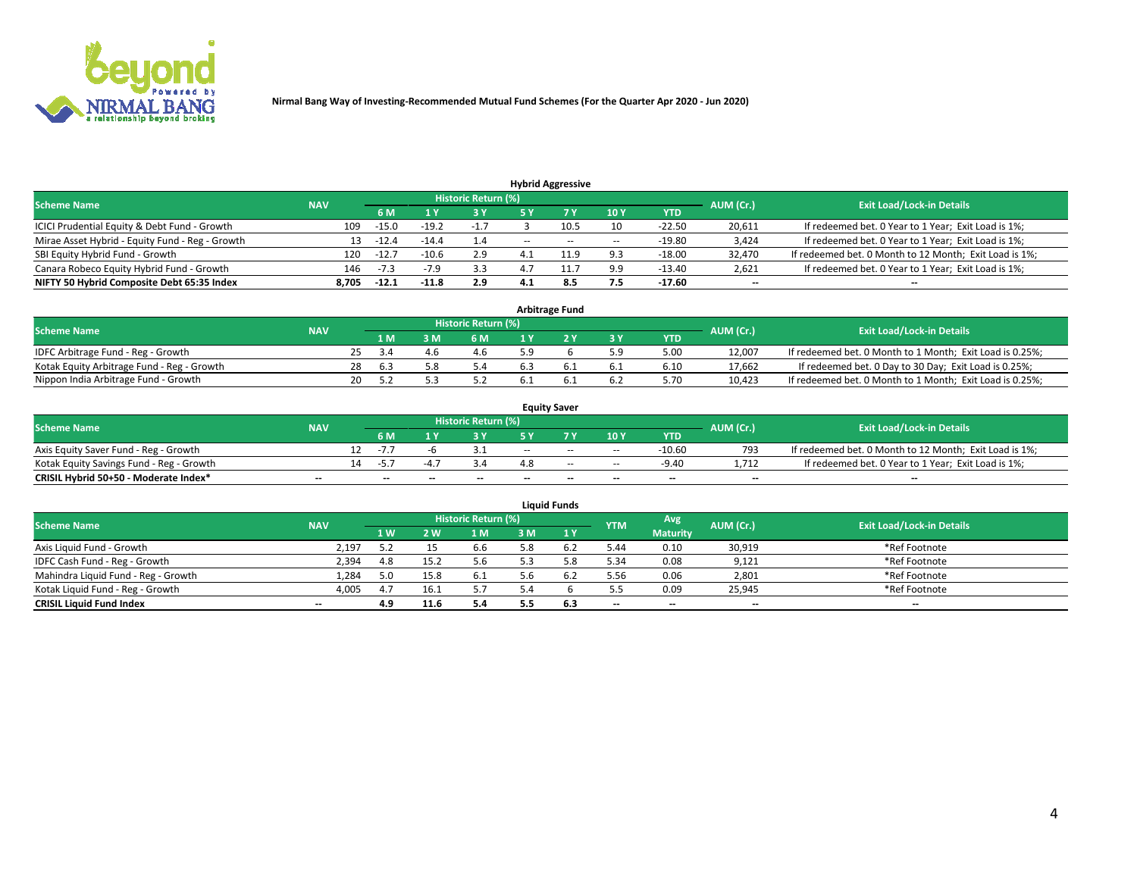

| <b>Hybrid Aggressive</b>                        |            |         |         |                     |       |       |                          |          |                          |                                                        |  |  |  |
|-------------------------------------------------|------------|---------|---------|---------------------|-------|-------|--------------------------|----------|--------------------------|--------------------------------------------------------|--|--|--|
| <b>Scheme Name</b>                              | <b>NAV</b> |         |         | Historic Return (%) |       |       |                          |          | AUM (Cr.)                | <b>Exit Load/Lock-in Details</b>                       |  |  |  |
|                                                 |            | 6 M     |         | 3 Y                 | 5 ۷   |       | 10Y                      | YTD      |                          |                                                        |  |  |  |
| ICICI Prudential Equity & Debt Fund - Growth    | 109        | $-15.0$ | $-19.2$ | $-1.7$              |       |       | 10                       | $-22.50$ | 20,611                   | If redeemed bet. 0 Year to 1 Year; Exit Load is 1%;    |  |  |  |
| Mirae Asset Hybrid - Equity Fund - Reg - Growth | 13         | $-12.4$ | $-14.4$ | 1.4                 | $- -$ | $- -$ | $\overline{\phantom{a}}$ | $-19.80$ | 3,424                    | If redeemed bet. 0 Year to 1 Year; Exit Load is 1%;    |  |  |  |
| SBI Equity Hybrid Fund - Growth                 | 120        | $-12.1$ | $-10.6$ | 2.9                 |       | 11 Q  | 9.3                      | $-18.00$ | 32,470                   | If redeemed bet. 0 Month to 12 Month; Exit Load is 1%; |  |  |  |
| Canara Robeco Equity Hybrid Fund - Growth       | 146        | $-7.3$  | $-7.9$  | 3.3                 |       |       | 9.9                      | $-13.40$ | 2,621                    | If redeemed bet. 0 Year to 1 Year; Exit Load is 1%;    |  |  |  |
| NIFTY 50 Hybrid Composite Debt 65:35 Index      | 8,705      | $-12.1$ | $-11.8$ | 2.9                 | 4.1   | 8.5   | 7.5                      | $-17.60$ | $\overline{\phantom{a}}$ | --                                                     |  |  |  |

| <b>Arbitrage Fund</b>                      |            |    |     |  |                     |     |  |     |            |           |                                                          |  |  |
|--------------------------------------------|------------|----|-----|--|---------------------|-----|--|-----|------------|-----------|----------------------------------------------------------|--|--|
| <b>Scheme Name</b>                         | <b>NAV</b> |    |     |  | Historic Return (%) |     |  |     |            | AUM (Cr.) | <b>Exit Load/Lock-in Details</b>                         |  |  |
|                                            |            |    | 1 M |  | 6 M                 |     |  | 3 Y | <b>YTD</b> |           |                                                          |  |  |
| IDFC Arbitrage Fund - Reg - Growth         |            |    |     |  | 4.6                 |     |  |     | 5.00       | 12.007    | If redeemed bet. 0 Month to 1 Month; Exit Load is 0.25%; |  |  |
| Kotak Equity Arbitrage Fund - Reg - Growth |            | 28 | 6.3 |  | 5.4                 | 6.3 |  | 6.1 | 6.10       | 17.662    | If redeemed bet. 0 Day to 30 Day; Exit Load is 0.25%;    |  |  |
| Nippon India Arbitrage Fund - Growth       |            | 20 |     |  |                     |     |  | 6.2 | 5.70       | 10.423    | If redeemed bet. 0 Month to 1 Month; Exit Load is 0.25%; |  |  |

| <b>Equity Saver</b>                      |            |     |                          |                          |                     |        |       |                          |                          |           |                                                        |  |  |  |
|------------------------------------------|------------|-----|--------------------------|--------------------------|---------------------|--------|-------|--------------------------|--------------------------|-----------|--------------------------------------------------------|--|--|--|
| <b>Scheme Name</b>                       | <b>NAV</b> |     |                          |                          | Historic Return (%) |        |       |                          |                          | AUM (Cr.) | <b>Exit Load/Lock-in Details</b>                       |  |  |  |
|                                          |            |     | 6 M                      |                          |                     | E V    |       | 10Y                      | <b>YTD</b>               |           |                                                        |  |  |  |
| Axis Equity Saver Fund - Reg - Growth    |            |     | $-1$                     |                          |                     | $-$    | $- -$ | $\overline{\phantom{a}}$ | $-10.60$                 | 793       | If redeemed bet. 0 Month to 12 Month; Exit Load is 1%; |  |  |  |
| Kotak Equity Savings Fund - Reg - Growth |            | 14. | $-5$                     |                          |                     |        | $-$   | $\sim$                   | $-9.40$                  | 1.712     | If redeemed bet. 0 Year to 1 Year; Exit Load is 1%;    |  |  |  |
| CRISIL Hybrid 50+50 - Moderate Index*    | $- -$      |     | $\overline{\phantom{a}}$ | $\overline{\phantom{a}}$ | $- -$               | $\sim$ | $- -$ | $\overline{\phantom{a}}$ | $\overline{\phantom{a}}$ | $- -$     | --                                                     |  |  |  |

| <b>Liquid Funds</b>                 |            |                |                |                            |     |      |            |                 |           |                                  |  |  |  |  |
|-------------------------------------|------------|----------------|----------------|----------------------------|-----|------|------------|-----------------|-----------|----------------------------------|--|--|--|--|
| <b>Scheme Name</b>                  | <b>NAV</b> |                |                | <b>Historic Return (%)</b> |     |      | <b>YTM</b> | Avg             | AUM (Cr.) | <b>Exit Load/Lock-in Details</b> |  |  |  |  |
|                                     |            | 1 <sub>W</sub> | $\overline{M}$ | 1 M                        | ះ M | 41 Y |            | <b>Maturity</b> |           |                                  |  |  |  |  |
| Axis Liquid Fund - Growth           | 2.197      | 5.2            |                | 6.6                        | 5.8 |      | 5.44       | 0.10            | 30,919    | *Ref Footnote                    |  |  |  |  |
| IDFC Cash Fund - Reg - Growth       | 2,394      | 4.8            |                | 5.6                        |     |      | 5.34       | 0.08            | 9,121     | *Ref Footnote                    |  |  |  |  |
| Mahindra Liquid Fund - Reg - Growth | 1,284      | 5.0            | 15.8           | 6.1                        | o.b | 6.2  | 5.56       | 0.06            | 2,801     | *Ref Footnote                    |  |  |  |  |
| Kotak Liquid Fund - Reg - Growth    | 4.005      | 4.7            | 16.1           | 5.7                        |     |      | 5.5        | 0.09            | 25,945    | *Ref Footnote                    |  |  |  |  |
| <b>CRISIL Liquid Fund Index</b>     | $- -$      | 4.9            | 11.6           | 5.4                        |     | 6.3  | $-$        | $- -$           | $-$       | $-$                              |  |  |  |  |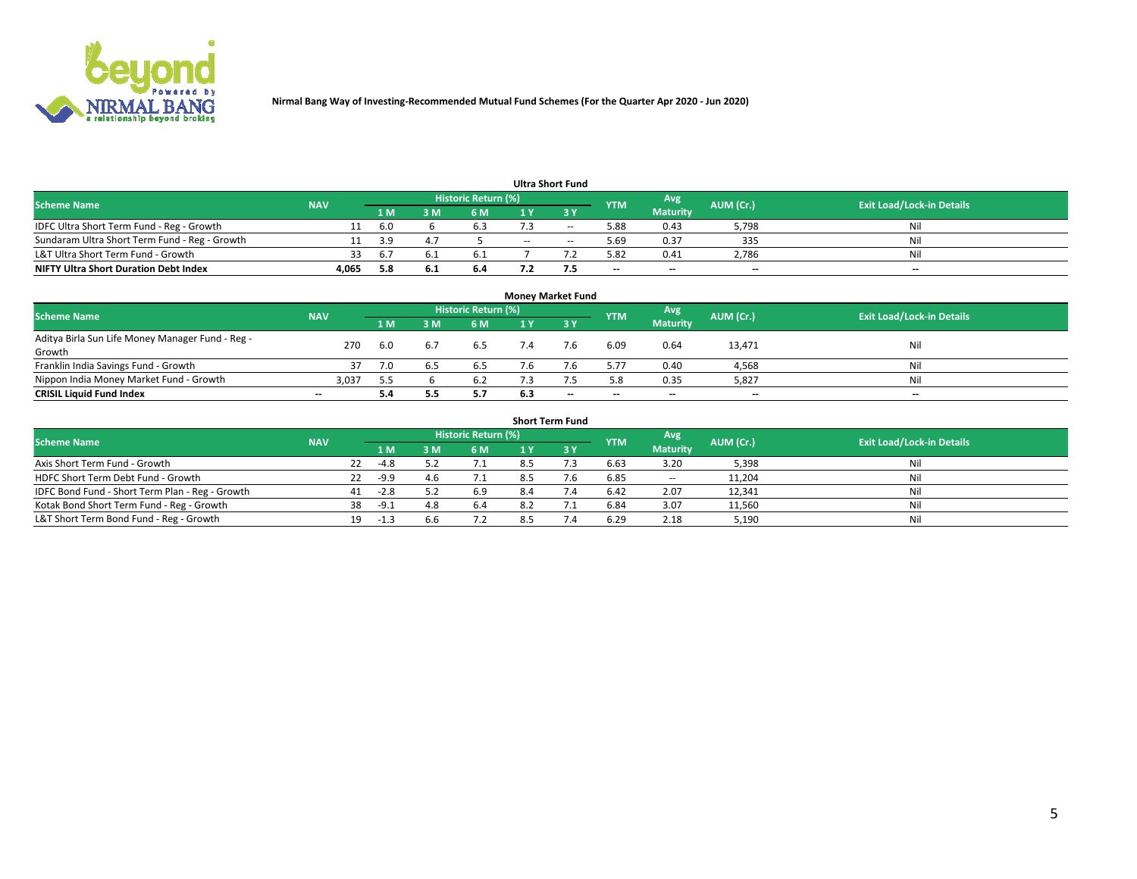

| <b>Ultra Short Fund</b>                       |            |       |     |                     |       |                          |            |                 |           |                                  |  |  |  |  |
|-----------------------------------------------|------------|-------|-----|---------------------|-------|--------------------------|------------|-----------------|-----------|----------------------------------|--|--|--|--|
| Scheme Name                                   | <b>NAV</b> |       |     | Historic Return (%) |       |                          | <b>YTM</b> | Avg             | AUM (Cr.) | <b>Exit Load/Lock-in Details</b> |  |  |  |  |
|                                               |            | 1 M I |     | 6 M                 |       | 3 Y                      |            | <b>Maturity</b> |           |                                  |  |  |  |  |
| IDFC Ultra Short Term Fund - Reg - Growth     |            | 6.0   |     | <b>.</b> ე          |       | $\overline{\phantom{m}}$ | 5.88       | 0.43            | 5,798     | Nil                              |  |  |  |  |
| Sundaram Ultra Short Term Fund - Reg - Growth |            | ∢ ฯ   |     |                     | $- -$ | $\sim$                   | 5.69       | 0.37            | 335       | Nil                              |  |  |  |  |
| L&T Ultra Short Term Fund - Growth            | 33         | 6.    |     | b.                  |       |                          | 5.82       | 0.41            | 2.786     | Nil                              |  |  |  |  |
| <b>NIFTY Ultra Short Duration Debt Index</b>  | 4,065      | 5.8   | υ., | 6.4                 |       |                          | $- -$      | $-$             | $- -$     | $- -$                            |  |  |  |  |

| <b>Money Market Fund</b>                         |                          |     |     |                            |     |                          |                          |                 |           |                                  |  |  |  |  |
|--------------------------------------------------|--------------------------|-----|-----|----------------------------|-----|--------------------------|--------------------------|-----------------|-----------|----------------------------------|--|--|--|--|
| <b>Scheme Name</b>                               | <b>NAV</b>               |     |     | <b>Historic Return (%)</b> |     |                          | <b>YTM</b>               | Avg             | AUM (Cr.) | <b>Exit Load/Lock-in Details</b> |  |  |  |  |
|                                                  |                          | 1 M | ١M  | 6 M                        |     | 3 Y                      |                          | <b>Maturity</b> |           |                                  |  |  |  |  |
| Aditya Birla Sun Life Money Manager Fund - Reg - | 270                      | 6.0 | 6.7 |                            |     | 7.6                      | 6.09                     | 0.64            | 13,471    | Nil                              |  |  |  |  |
| Growth                                           |                          |     |     | 6.5                        |     |                          |                          |                 |           |                                  |  |  |  |  |
| Franklin India Savings Fund - Growth             |                          |     |     | 6.5                        |     |                          | 5.77                     | 0.40            | 4,568     | Nil                              |  |  |  |  |
| Nippon India Money Market Fund - Growth          | 3,037                    | 5.5 |     | 6.2                        |     |                          | 5.8                      | 0.35            | 5,827     | Nil                              |  |  |  |  |
| <b>CRISIL Liquid Fund Index</b>                  | $\overline{\phantom{a}}$ | 5.4 |     | 5.7                        | 6.3 | $\overline{\phantom{a}}$ | $\overline{\phantom{a}}$ | $- -$           | $- -$     | $-$                              |  |  |  |  |

| <b>Short Term Fund</b>                          |            |    |        |     |                     |     |  |            |                          |           |                                  |  |  |  |
|-------------------------------------------------|------------|----|--------|-----|---------------------|-----|--|------------|--------------------------|-----------|----------------------------------|--|--|--|
| <b>Scheme Name</b>                              | <b>NAV</b> |    |        |     | Historic Return (%) |     |  | <b>YTM</b> | Avg                      | AUM (Cr.) | <b>Exit Load/Lock-in Details</b> |  |  |  |
|                                                 |            |    | 1 M    | : M | 6 M                 |     |  |            | <b>Maturity</b>          |           |                                  |  |  |  |
| Axis Short Term Fund - Growth                   |            | 22 | $-4.8$ |     | 7.1                 | 8.5 |  | 6.63       | 3.20                     | 5,398     | Nil                              |  |  |  |
| HDFC Short Term Debt Fund - Growth              |            | 22 | $-9.9$ | 4.b | 7.1                 | 8.5 |  | 6.85       | $\overline{\phantom{a}}$ | 11,204    | Nil                              |  |  |  |
| IDFC Bond Fund - Short Term Plan - Reg - Growth |            | 41 | $-2.8$ |     | 6.9                 |     |  | 6.42       | 2.07                     | 12,341    | Nil                              |  |  |  |
| Kotak Bond Short Term Fund - Reg - Growth       |            | 38 | -9.1   | 4.8 | 6.4                 |     |  | 6.84       | 3.07                     | 11,560    | Nil                              |  |  |  |
| L&T Short Term Bond Fund - Reg - Growth         |            | 19 | -1.3   | b.b | 7.2                 |     |  | 6.29       | 2.18                     | 5,190     | Nil                              |  |  |  |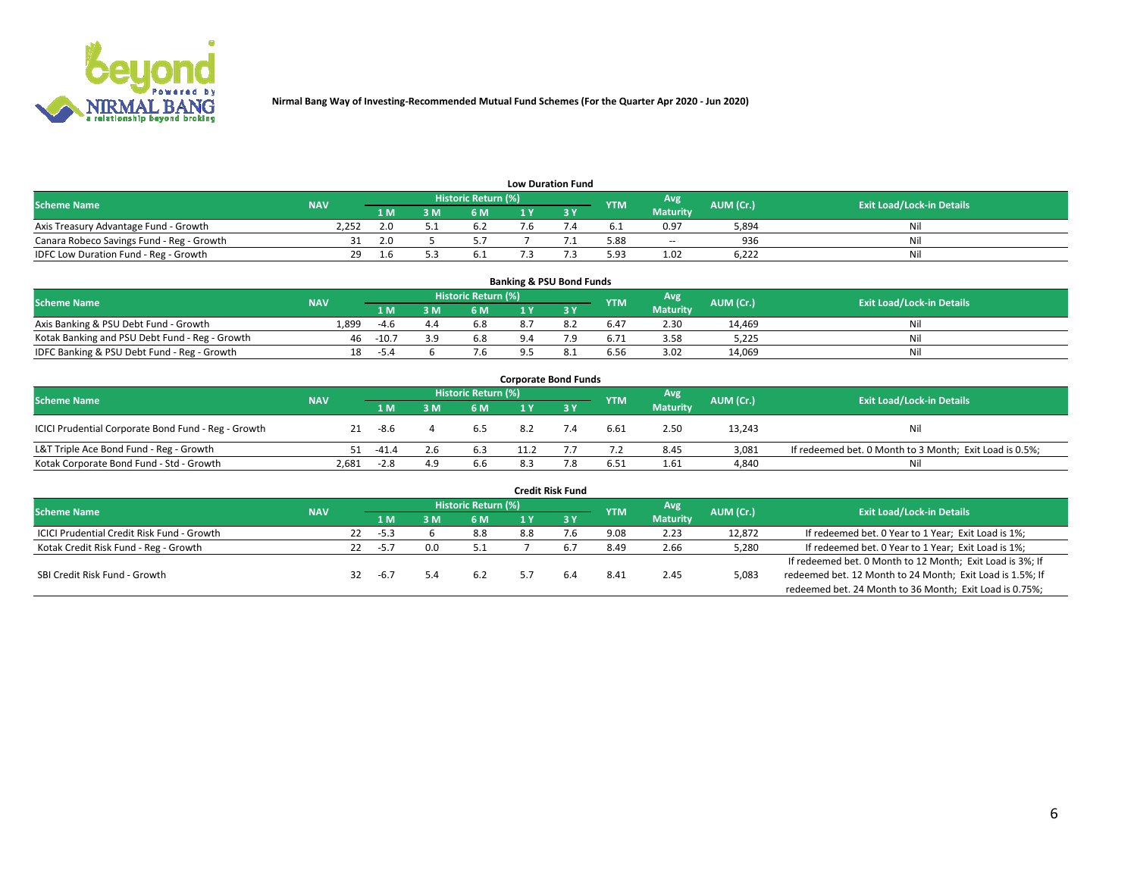

| <b>Low Duration Fund</b>                  |            |     |     |                      |  |  |            |                          |           |                                  |  |  |  |  |
|-------------------------------------------|------------|-----|-----|----------------------|--|--|------------|--------------------------|-----------|----------------------------------|--|--|--|--|
| <b>Scheme Name</b>                        | <b>NAV</b> |     |     | Historic Return (%)' |  |  | <b>YTM</b> | Avg                      | AUM (Cr.) | <b>Exit Load/Lock-in Details</b> |  |  |  |  |
|                                           |            | 1 M | : M | 6 M                  |  |  |            | <b>Maturity</b>          |           |                                  |  |  |  |  |
| Axis Treasury Advantage Fund - Growth     | 2.252      |     |     | o.z                  |  |  | 6. L       | 0.97                     | 5,894     | Nil                              |  |  |  |  |
| Canara Robeco Savings Fund - Reg - Growth |            | 2.0 |     |                      |  |  | 5.88       | $\overline{\phantom{a}}$ | 936       | Nil                              |  |  |  |  |
| IDFC Low Duration Fund - Reg - Growth     | 29         |     |     |                      |  |  | 5.93       | 1.02                     | 6.222     | Nil                              |  |  |  |  |

| <b>Banking &amp; PSU Bond Funds</b>            |            |         |     |                            |  |     |            |                 |           |                                  |  |  |  |  |
|------------------------------------------------|------------|---------|-----|----------------------------|--|-----|------------|-----------------|-----------|----------------------------------|--|--|--|--|
| <b>Scheme Name</b>                             | <b>NAV</b> |         |     | <b>Historic Return (%)</b> |  |     | <b>YTM</b> | Avg             | AUM (Cr.) | <b>Exit Load/Lock-in Details</b> |  |  |  |  |
|                                                |            | 1 M     | R M | 6 M                        |  |     |            | <b>Maturity</b> |           |                                  |  |  |  |  |
| Axis Banking & PSU Debt Fund - Growth          | 1.899      | $-4.6$  | 4.4 | 6.8                        |  |     | 6.47       | 2.30            | 14.469    | Nil                              |  |  |  |  |
| Kotak Banking and PSU Debt Fund - Reg - Growth | 46         | $-10.7$ | 3 Q | 6.8                        |  | ہ 7 | 6.71       | 3.58            | 5.225     | Nil                              |  |  |  |  |
| IDFC Banking & PSU Debt Fund - Reg - Growth    | 18         | -5.4    |     | 7.6                        |  |     | 6.56       | 3.02            | 14,069    | Nil                              |  |  |  |  |

| <b>Corporate Bond Funds</b>                         |            |         |     |                     |      |     |            |                 |           |                                                         |  |  |  |  |
|-----------------------------------------------------|------------|---------|-----|---------------------|------|-----|------------|-----------------|-----------|---------------------------------------------------------|--|--|--|--|
| <b>Scheme Name</b>                                  | <b>NAV</b> |         |     | Historic Return (%) |      |     | <b>YTM</b> | Avg             | AUM (Cr.) | <b>Exit Load/Lock-in Details</b>                        |  |  |  |  |
|                                                     |            | 1 M.    | 8 M | 6 M                 |      |     |            | <b>Maturity</b> |           |                                                         |  |  |  |  |
| ICICI Prudential Corporate Bond Fund - Reg - Growth | 21         | -8.6    |     | 6.5                 | 8.2  | 7.4 | 6.61       | 2.50            | 13,243    | Nil                                                     |  |  |  |  |
| L&T Triple Ace Bond Fund - Reg - Growth             | 51.        | $-41.4$ | 2.6 | 6.3                 | 11.2 |     | 7.2        | 8.45            | 3.081     | If redeemed bet. 0 Month to 3 Month; Exit Load is 0.5%; |  |  |  |  |
| Kotak Corporate Bond Fund - Std - Growth            | 2,681      | $-2.8$  | 4.9 | 6.6                 | 8.3  | 7.8 | 6.51       | 1.61            | 4,840     | Nil                                                     |  |  |  |  |

| <b>Credit Risk Fund</b>                           |            |    |        |     |                     |     |      |            |                 |           |                                                           |  |  |
|---------------------------------------------------|------------|----|--------|-----|---------------------|-----|------|------------|-----------------|-----------|-----------------------------------------------------------|--|--|
| <b>Scheme Name</b>                                | <b>NAV</b> |    |        |     | Historic Return (%) |     |      | <b>YTM</b> | Avg             | AUM (Cr.) | <b>Exit Load/Lock-in Details</b>                          |  |  |
|                                                   |            |    | 1 M.   |     | <b>6 M</b>          |     | -3 Y |            | <b>Maturity</b> |           |                                                           |  |  |
| <b>ICICI Prudential Credit Risk Fund - Growth</b> |            | 22 | $-5.3$ |     | 8.8                 | 8.8 |      | 9.08       | 2.23            | 12,872    | If redeemed bet. 0 Year to 1 Year; Exit Load is 1%;       |  |  |
| Kotak Credit Risk Fund - Reg - Growth             |            | 22 | $-5.7$ | 0.0 |                     |     |      | 8.49       | 2.66            | 5,280     | If redeemed bet. 0 Year to 1 Year; Exit Load is 1%;       |  |  |
|                                                   |            |    |        |     |                     |     |      |            |                 |           | If redeemed bet. 0 Month to 12 Month; Exit Load is 3%; If |  |  |
| SBI Credit Risk Fund - Growth                     |            | 32 | $-6.7$ |     | 6.2                 |     | 6.4  | 8.41       | 2.45            | 5,083     | redeemed bet. 12 Month to 24 Month; Exit Load is 1.5%; If |  |  |
|                                                   |            |    |        |     |                     |     |      |            |                 |           | redeemed bet. 24 Month to 36 Month; Exit Load is 0.75%;   |  |  |